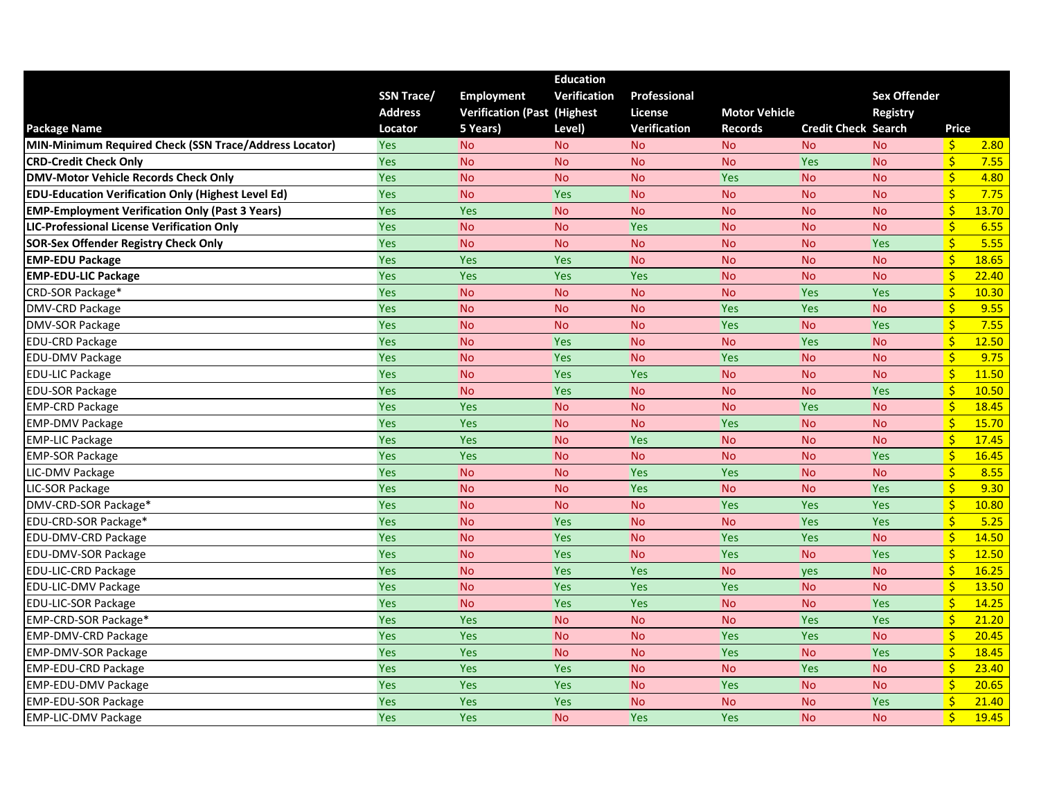|                                                           |                   |                                     | <b>Education</b>    |                |                      |                            |                     |                         |       |
|-----------------------------------------------------------|-------------------|-------------------------------------|---------------------|----------------|----------------------|----------------------------|---------------------|-------------------------|-------|
|                                                           | <b>SSN Trace/</b> | <b>Employment</b>                   | <b>Verification</b> | Professional   |                      |                            | <b>Sex Offender</b> |                         |       |
|                                                           | <b>Address</b>    | <b>Verification (Past (Highest)</b> |                     | <b>License</b> | <b>Motor Vehicle</b> |                            | <b>Registry</b>     |                         |       |
| <b>Package Name</b>                                       | Locator           | 5 Years)                            | Level)              | Verification   | <b>Records</b>       | <b>Credit Check Search</b> |                     | Price                   |       |
| MIN-Minimum Required Check (SSN Trace/Address Locator)    | Yes               | <b>No</b>                           | <b>No</b>           | <b>No</b>      | <b>No</b>            | <b>No</b>                  | <b>No</b>           | $\frac{1}{2}$           | 2.80  |
| <b>CRD-Credit Check Only</b>                              | Yes               | <b>No</b>                           | <b>No</b>           | <b>No</b>      | <b>No</b>            | Yes                        | <b>No</b>           | $\mathsf{S}$            | 7.55  |
| <b>DMV-Motor Vehicle Records Check Only</b>               | <b>Yes</b>        | <b>No</b>                           | <b>No</b>           | <b>No</b>      | Yes                  | <b>No</b>                  | <b>No</b>           | $\mathsf{S}$            | 4.80  |
| <b>EDU-Education Verification Only (Highest Level Ed)</b> | Yes               | <b>No</b>                           | Yes                 | <b>No</b>      | <b>No</b>            | <b>No</b>                  | <b>No</b>           | $\frac{1}{2}$           | 7.75  |
| <b>EMP-Employment Verification Only (Past 3 Years)</b>    | Yes               | Yes                                 | <b>No</b>           | <b>No</b>      | <b>No</b>            | <b>No</b>                  | <b>No</b>           | $\frac{1}{2}$           | 13.70 |
| <b>LIC-Professional License Verification Only</b>         | Yes               | <b>No</b>                           | <b>No</b>           | Yes            | <b>No</b>            | <b>No</b>                  | <b>No</b>           | $\frac{1}{2}$           | 6.55  |
| <b>SOR-Sex Offender Registry Check Only</b>               | Yes               | <b>No</b>                           | <b>No</b>           | <b>No</b>      | <b>No</b>            | <b>No</b>                  | Yes                 | $\frac{1}{2}$           | 5.55  |
| <b>EMP-EDU Package</b>                                    | Yes               | Yes                                 | Yes                 | <b>No</b>      | <b>No</b>            | <b>No</b>                  | <b>No</b>           | $\mathsf{S}$            | 18.65 |
| <b>EMP-EDU-LIC Package</b>                                | Yes               | <b>Yes</b>                          | Yes                 | Yes            | <b>No</b>            | <b>No</b>                  | <b>No</b>           | $\frac{1}{2}$           | 22.40 |
| CRD-SOR Package*                                          | Yes               | <b>No</b>                           | <b>No</b>           | <b>No</b>      | <b>No</b>            | Yes                        | <b>Yes</b>          | $\frac{1}{2}$           | 10.30 |
| DMV-CRD Package                                           | <b>Yes</b>        | <b>No</b>                           | <b>No</b>           | <b>No</b>      | Yes                  | Yes                        | <b>No</b>           | $\frac{1}{2}$           | 9.55  |
| DMV-SOR Package                                           | Yes               | <b>No</b>                           | <b>No</b>           | <b>No</b>      | Yes                  | <b>No</b>                  | Yes                 | $\frac{1}{2}$           | 7.55  |
| <b>EDU-CRD Package</b>                                    | Yes               | <b>No</b>                           | Yes                 | <b>No</b>      | <b>No</b>            | Yes                        | <b>No</b>           | $\frac{1}{2}$           | 12.50 |
| <b>EDU-DMV Package</b>                                    | Yes               | <b>No</b>                           | Yes                 | <b>No</b>      | Yes                  | <b>No</b>                  | <b>No</b>           | $\mathsf{S}$            | 9.75  |
| <b>EDU-LIC Package</b>                                    | Yes               | <b>No</b>                           | Yes                 | Yes            | <b>No</b>            | <b>No</b>                  | <b>No</b>           | $\zeta$                 | 11.50 |
| <b>EDU-SOR Package</b>                                    | Yes               | <b>No</b>                           | Yes                 | <b>No</b>      | <b>No</b>            | <b>No</b>                  | Yes                 | $\zeta$                 | 10.50 |
| <b>EMP-CRD Package</b>                                    | Yes               | Yes                                 | <b>No</b>           | <b>No</b>      | <b>No</b>            | Yes                        | <b>No</b>           | $\mathsf{S}$            | 18.45 |
| <b>EMP-DMV Package</b>                                    | Yes               | Yes                                 | <b>No</b>           | <b>No</b>      | Yes                  | <b>No</b>                  | <b>No</b>           | $\frac{1}{2}$           | 15.70 |
| <b>EMP-LIC Package</b>                                    | <b>Yes</b>        | Yes                                 | <b>No</b>           | <b>Yes</b>     | <b>No</b>            | <b>No</b>                  | <b>No</b>           | $\frac{1}{2}$           | 17.45 |
| <b>EMP-SOR Package</b>                                    | Yes               | Yes                                 | <b>No</b>           | <b>No</b>      | <b>No</b>            | <b>No</b>                  | Yes                 | $\frac{1}{2}$           | 16.45 |
| LIC-DMV Package                                           | Yes               | <b>No</b>                           | <b>No</b>           | Yes            | Yes                  | <b>No</b>                  | <b>No</b>           | $\frac{1}{2}$           | 8.55  |
| LIC-SOR Package                                           | Yes               | <b>No</b>                           | <b>No</b>           | Yes            | <b>No</b>            | <b>No</b>                  | Yes                 | $\frac{1}{2}$           | 9.30  |
| DMV-CRD-SOR Package*                                      | Yes               | <b>No</b>                           | <b>No</b>           | <b>No</b>      | Yes                  | Yes                        | <b>Yes</b>          | $\frac{1}{2}$           | 10.80 |
| EDU-CRD-SOR Package*                                      | <b>Yes</b>        | <b>No</b>                           | Yes                 | <b>No</b>      | <b>No</b>            | Yes                        | Yes                 | $\overline{\mathsf{S}}$ | 5.25  |
| EDU-DMV-CRD Package                                       | Yes               | <b>No</b>                           | Yes                 | <b>No</b>      | Yes                  | Yes                        | <b>No</b>           | $\mathsf{S}$            | 14.50 |
| EDU-DMV-SOR Package                                       | <b>Yes</b>        | <b>No</b>                           | Yes                 | <b>No</b>      | Yes                  | <b>No</b>                  | <b>Yes</b>          | $\frac{1}{2}$           | 12.50 |
| EDU-LIC-CRD Package                                       | Yes               | <b>No</b>                           | Yes                 | Yes            | <b>No</b>            | yes                        | <b>No</b>           | $\frac{1}{2}$           | 16.25 |
| EDU-LIC-DMV Package                                       | Yes               | <b>No</b>                           | Yes                 | <b>Yes</b>     | Yes                  | <b>No</b>                  | <b>No</b>           | $\frac{1}{2}$           | 13.50 |
| <b>EDU-LIC-SOR Package</b>                                | Yes               | <b>No</b>                           | Yes                 | Yes            | <b>No</b>            | <b>No</b>                  | Yes                 | $\mathsf{S}$            | 14.25 |
| EMP-CRD-SOR Package*                                      | Yes               | Yes                                 | <b>No</b>           | <b>No</b>      | <b>No</b>            | Yes                        | <b>Yes</b>          | $\zeta$                 | 21.20 |
| <b>EMP-DMV-CRD Package</b>                                | Yes               | Yes                                 | <b>No</b>           | <b>No</b>      | Yes                  | Yes                        | <b>No</b>           | $\mathsf{S}$            | 20.45 |
| <b>EMP-DMV-SOR Package</b>                                | Yes               | Yes                                 | <b>No</b>           | <b>No</b>      | Yes                  | <b>No</b>                  | Yes                 | $\mathsf{S}$            | 18.45 |
| <b>EMP-EDU-CRD Package</b>                                | Yes               | Yes                                 | Yes                 | <b>No</b>      | <b>No</b>            | Yes                        | <b>No</b>           | $\frac{1}{2}$           | 23.40 |
| <b>EMP-EDU-DMV Package</b>                                | Yes               | Yes                                 | Yes                 | <b>No</b>      | Yes                  | <b>No</b>                  | <b>No</b>           | $\mathsf{S}$            | 20.65 |
| <b>EMP-EDU-SOR Package</b>                                | Yes               | <b>Yes</b>                          | Yes                 | <b>No</b>      | <b>No</b>            | <b>No</b>                  | Yes                 | $\frac{1}{2}$           | 21.40 |
| <b>EMP-LIC-DMV Package</b>                                | Yes               | Yes                                 | <b>No</b>           | Yes            | <b>Yes</b>           | <b>No</b>                  | <b>No</b>           | $\frac{1}{2}$           | 19.45 |